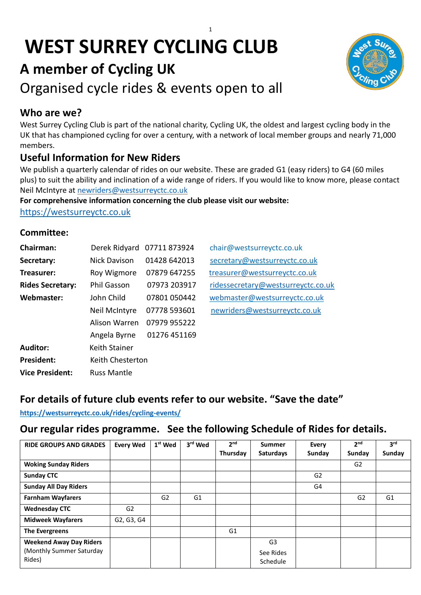# **WEST SURREY CYCLING CLUB**



# **A member of Cycling UK**

Organised cycle rides & events open to all

# **Who are we?**

West Surrey Cycling Club is part of the national charity, Cycling UK, the oldest and largest cycling body in the UK that has championed cycling for over a century, with a network of local member groups and nearly 71,000 members.

# **Useful Information for New Riders**

We publish a quarterly calendar of rides on our website. These are graded G1 (easy riders) to G4 (60 miles plus) to suit the ability and inclination of a wide range of riders. If you would like to know more, please contact Neil McIntyre at [newriders@westsurreyctc.co.uk](mailto:newriders@westsurreyctc.co.uk) 

**For comprehensive information concerning the club please visit our website:** 

[https://westsurreyctc.co.uk](https://westsurreyctc.co.uk/)

#### **Committee:**

| <b>Chairman:</b>        | Derek Ridyard      | 07711873924  | chair@westsurreyctc.co.uk          |
|-------------------------|--------------------|--------------|------------------------------------|
| Secretary:              | Nick Davison       | 01428 642013 | secretary@westsurreyctc.co.uk      |
| Treasurer:              | Roy Wigmore        | 07879 647255 | treasurer@westsurreyctc.co.uk      |
| <b>Rides Secretary:</b> | Phil Gasson        | 07973 203917 | ridessecretary@westsurreyctc.co.uk |
| Webmaster:              | John Child         | 07801 050442 | webmaster@westsurreyctc.co.uk      |
|                         | Neil McIntyre      | 07778 593601 | newriders@westsurreyctc.co.uk      |
|                         | Alison Warren      | 07979 955222 |                                    |
|                         | Angela Byrne       | 01276 451169 |                                    |
| <b>Auditor:</b>         | Keith Stainer      |              |                                    |
| <b>President:</b>       | Keith Chesterton   |              |                                    |
| <b>Vice President:</b>  | <b>Russ Mantle</b> |              |                                    |

# **For details of future club events refer to our website. "Save the date"**

#### **<https://westsurreyctc.co.uk/rides/cycling-events/>**

## **Our regular rides programme. See the following Schedule of Rides for details.**

| <b>RIDE GROUPS AND GRADES</b>  | <b>Every Wed</b> | 1 <sup>st</sup> Wed | 3rd Wed        | 2 <sup>nd</sup> | Summer           | Every          | 2 <sub>nd</sub> | 3 <sup>rd</sup> |
|--------------------------------|------------------|---------------------|----------------|-----------------|------------------|----------------|-----------------|-----------------|
|                                |                  |                     |                | Thursday        | <b>Saturdays</b> | Sunday         | Sunday          | Sunday          |
| <b>Woking Sunday Riders</b>    |                  |                     |                |                 |                  |                | G <sub>2</sub>  |                 |
| <b>Sunday CTC</b>              |                  |                     |                |                 |                  | G <sub>2</sub> |                 |                 |
| <b>Sunday All Day Riders</b>   |                  |                     |                |                 |                  | G4             |                 |                 |
| <b>Farnham Wayfarers</b>       |                  | G <sub>2</sub>      | G <sub>1</sub> |                 |                  |                | G <sub>2</sub>  | G1              |
| <b>Wednesday CTC</b>           | G <sub>2</sub>   |                     |                |                 |                  |                |                 |                 |
| <b>Midweek Wayfarers</b>       | G2, G3, G4       |                     |                |                 |                  |                |                 |                 |
| The Evergreens                 |                  |                     |                | G <sub>1</sub>  |                  |                |                 |                 |
| <b>Weekend Away Day Riders</b> |                  |                     |                |                 | G <sub>3</sub>   |                |                 |                 |
| (Monthly Summer Saturday       |                  |                     |                |                 | See Rides        |                |                 |                 |
| Rides)                         |                  |                     |                |                 | Schedule         |                |                 |                 |

1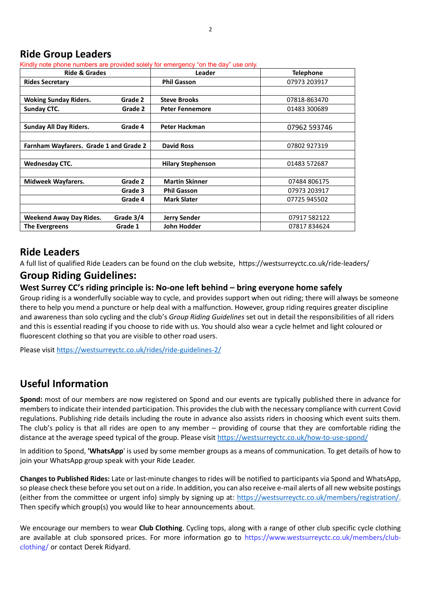#### **Ride Group Leaders**

Kindly note phone numbers are provided solely for emergency "on the day" use only.

| <b>Ride &amp; Grades</b>               |           | Leader                   | <b>Telephone</b> |
|----------------------------------------|-----------|--------------------------|------------------|
| <b>Rides Secretary</b>                 |           | <b>Phil Gasson</b>       | 07973 203917     |
|                                        |           |                          |                  |
| <b>Woking Sunday Riders.</b>           | Grade 2   | <b>Steve Brooks</b>      | 07818-863470     |
| <b>Sunday CTC.</b>                     | Grade 2   | <b>Peter Fennemore</b>   | 01483 300689     |
|                                        |           |                          |                  |
| <b>Sunday All Day Riders.</b>          | Grade 4   | <b>Peter Hackman</b>     | 07962 593746     |
|                                        |           |                          |                  |
| Farnham Wayfarers. Grade 1 and Grade 2 |           | <b>David Ross</b>        | 07802 927319     |
|                                        |           |                          |                  |
| <b>Wednesday CTC.</b>                  |           | <b>Hilary Stephenson</b> | 01483 572687     |
|                                        |           |                          |                  |
| <b>Midweek Wayfarers.</b>              | Grade 2   | <b>Martin Skinner</b>    | 07484 806175     |
|                                        | Grade 3   | <b>Phil Gasson</b>       | 07973 203917     |
|                                        | Grade 4   | <b>Mark Slater</b>       | 07725 945502     |
|                                        |           |                          |                  |
| <b>Weekend Away Day Rides.</b>         | Grade 3/4 | <b>Jerry Sender</b>      | 07917 582122     |
| <b>The Evergreens</b>                  | Grade 1   | John Hodder              | 07817834624      |

#### **Ride Leaders**

A full list of qualified Ride Leaders can be found on the club website, https://westsurreyctc.co.uk/ride-leaders/

#### **Group Riding Guidelines:**

#### **West Surrey CC's riding principle is: No-one left behind – bring everyone home safely**

Group riding is a wonderfully sociable way to cycle, and provides support when out riding; there will always be someone there to help you mend a puncture or help deal with a malfunction. However, group riding requires greater discipline and awareness than solo cycling and the club's *Group Riding Guidelines* set out in detail the responsibilities of all riders and this is essential reading if you choose to ride with us. You should also wear a cycle helmet and light coloured or fluorescent clothing so that you are visible to other road users.

Please visit<https://westsurreyctc.co.uk/rides/ride-guidelines-2/>

## **Useful Information**

**Spond:** most of our members are now registered on Spond and our events are typically published there in advance for members to indicate their intended participation. This provides the club with the necessary compliance with current Covid regulations. Publishing ride details including the route in advance also assists riders in choosing which event suits them. The club's policy is that all rides are open to any member – providing of course that they are comfortable riding the distance at the average speed typical of the group. Please visi[t https://westsurreyctc.co.uk/how-to-use-spond/](https://westsurreyctc.co.uk/how-to-use-spond/)

In addition to Spond, **'WhatsApp**' is used by some member groups as a means of communication. To get details of how to join your WhatsApp group speak with your Ride Leader.

**Changes to Published Rides:** Late or last-minute changes to rides will be notified to participants via Spond and WhatsApp, so please check these before you set out on a ride. In addition, you can also receive e-mail alerts of all new website postings (either from the committee or urgent info) simply by signing up at: [https://westsurreyctc.co.uk/members/registration/.](https://westsurreyctc.co.uk/members/registration/) Then specify which group(s) you would like to hear announcements about.

We encourage our members to wear **Club Clothing**. Cycling tops, along with a range of other club specific cycle clothing are available at club sponsored prices. For more information go to https://www.westsurreyctc.co.uk/members/clubclothing/ or contact Derek Ridyard.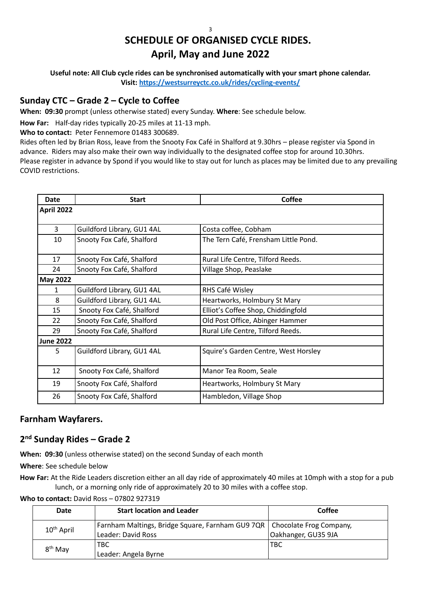# **SCHEDULE OF ORGANISED CYCLE RIDES. April, May and June 2022**

**Useful note: All Club cycle rides can be synchronised automatically with your smart phone calendar. Visit:<https://westsurreyctc.co.uk/rides/cycling-events/>**

#### **Sunday CTC – Grade 2 – Cycle to Coffee**

**When: 09:30** prompt (unless otherwise stated) every Sunday. **Where**: See schedule below.

**How Far:** Half-day rides typically 20-25 miles at 11-13 mph.

**Who to contact:** Peter Fennemore 01483 300689.

Rides often led by Brian Ross, leave from the Snooty Fox Café in Shalford at 9.30hrs – please register via Spond in advance. Riders may also make their own way individually to the designated coffee stop for around 10.30hrs. Please register in advance by Spond if you would like to stay out for lunch as places may be limited due to any prevailing COVID restrictions.

| <b>Date</b>      | <b>Start</b>               | <b>Coffee</b>                        |
|------------------|----------------------------|--------------------------------------|
| April 2022       |                            |                                      |
|                  |                            |                                      |
| 3                | Guildford Library, GU1 4AL | Costa coffee, Cobham                 |
| 10               | Snooty Fox Café, Shalford  | The Tern Café, Frensham Little Pond. |
| 17               | Snooty Fox Café, Shalford  | Rural Life Centre, Tilford Reeds.    |
| 24               | Snooty Fox Café, Shalford  | Village Shop, Peaslake               |
| <b>May 2022</b>  |                            |                                      |
| 1                | Guildford Library, GU1 4AL | RHS Café Wisley                      |
| 8                | Guildford Library, GU1 4AL | Heartworks, Holmbury St Mary         |
| 15               | Snooty Fox Café, Shalford  | Elliot's Coffee Shop, Chiddingfold   |
| 22               | Snooty Fox Café, Shalford  | Old Post Office, Abinger Hammer      |
| 29               | Snooty Fox Café, Shalford  | Rural Life Centre, Tilford Reeds.    |
| <b>June 2022</b> |                            |                                      |
| 5                | Guildford Library, GU1 4AL | Squire's Garden Centre, West Horsley |
| 12               | Snooty Fox Café, Shalford  | Manor Tea Room, Seale                |
| 19               | Snooty Fox Café, Shalford  | Heartworks, Holmbury St Mary         |
| 26               | Snooty Fox Café, Shalford  | Hambledon, Village Shop              |

#### **Farnham Wayfarers.**

#### **2 nd Sunday Rides – Grade 2**

**When: 09:30** (unless otherwise stated) on the second Sunday of each month

**Where**: See schedule below

**How Far:** At the Ride Leaders discretion either an all day ride of approximately 40 miles at 10mph with a stop for a pub lunch, or a morning only ride of approximately 20 to 30 miles with a coffee stop.

**Who to contact:** David Ross – 07802 927319

| Date                   | <b>Start location and Leader</b>                                           | Coffee              |
|------------------------|----------------------------------------------------------------------------|---------------------|
| 10 <sup>th</sup> April | Farnham Maltings, Bridge Square, Farnham GU9 7QR   Chocolate Frog Company, |                     |
|                        | Leader: David Ross                                                         | Oakhanger, GU35 9JA |
| $8th$ May              | TBC.                                                                       | <b>TBC</b>          |
|                        | Leader: Angela Byrne                                                       |                     |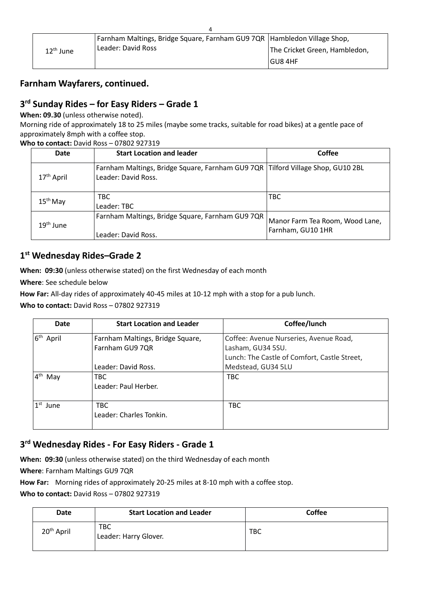| $12th$ June | Farnham Maltings, Bridge Square, Farnham GU9 7QR   Hambledon Village Shop, |                               |
|-------------|----------------------------------------------------------------------------|-------------------------------|
|             | l Leader: David Ross                                                       | The Cricket Green, Hambledon, |
|             |                                                                            | <b>GU8 4HF</b>                |

#### **Farnham Wayfarers, continued.**

#### **3 rd Sunday Rides – for Easy Riders – Grade 1**

**When: 09.30** (unless otherwise noted).

Morning ride of approximately 18 to 25 miles (maybe some tracks, suitable for road bikes) at a gentle pace of approximately 8mph with a coffee stop.

**Who to contact:** David Ross – 07802 927319

| <b>Date</b>            | <b>Start Location and leader</b>                                                                         | Coffee                                               |
|------------------------|----------------------------------------------------------------------------------------------------------|------------------------------------------------------|
| 17 <sup>th</sup> April | Farnham Maltings, Bridge Square, Farnham GU9 7QR   Tilford Village Shop, GU10 2BL<br>Leader: David Ross. |                                                      |
| $15th$ May             | TBC.<br>Leader: TBC                                                                                      | <b>TBC</b>                                           |
| $19th$ June            | Farnham Maltings, Bridge Square, Farnham GU9 7QR<br>Leader: David Ross.                                  | Manor Farm Tea Room, Wood Lane,<br>Farnham, GU10 1HR |

#### **1 st Wednesday Rides–Grade 2**

**When: 09:30** (unless otherwise stated) on the first Wednesday of each month

**Where**: See schedule below

**How Far:** All-day rides of approximately 40-45 miles at 10-12 mph with a stop for a pub lunch.

**Who to contact:** David Ross – 07802 927319

| <b>Date</b>              | <b>Start Location and Leader</b> | Coffee/lunch                                 |
|--------------------------|----------------------------------|----------------------------------------------|
| 6 <sup>th</sup><br>April | Farnham Maltings, Bridge Square, | Coffee: Avenue Nurseries, Avenue Road,       |
|                          | Farnham GU9 7QR                  | Lasham, GU34 5SU.                            |
|                          |                                  | Lunch: The Castle of Comfort, Castle Street, |
|                          | Leader: David Ross.              | Medstead, GU34 5LU                           |
| 4 <sup>th</sup><br>May   | <b>TBC</b>                       | <b>TBC</b>                                   |
|                          | Leader: Paul Herber.             |                                              |
|                          |                                  |                                              |
| $1st$ June               | <b>TBC</b>                       | <b>TBC</b>                                   |
|                          | Leader: Charles Tonkin.          |                                              |
|                          |                                  |                                              |

#### **3 rd Wednesday Rides - For Easy Riders - Grade 1**

**When: 09:30** (unless otherwise stated) on the third Wednesday of each month

**Where**: Farnham Maltings GU9 7QR

**How Far:** Morning rides of approximately 20-25 miles at 8-10 mph with a coffee stop.

**Who to contact:** David Ross – 07802 927319

| Date                   | <b>Start Location and Leader</b> | <b>Coffee</b> |
|------------------------|----------------------------------|---------------|
| 20 <sup>th</sup> April | TBC<br>Leader: Harry Glover.     | <b>TBC</b>    |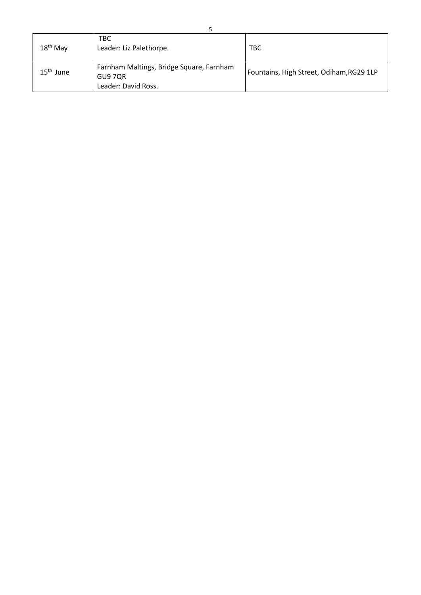| $18th$ May  | <b>TBC</b><br>Leader: Liz Palethorpe.                                      | <b>TBC</b>                               |
|-------------|----------------------------------------------------------------------------|------------------------------------------|
| $15th$ June | Farnham Maltings, Bridge Square, Farnham<br>GU9 7QR<br>Leader: David Ross. | Fountains, High Street, Odiham, RG29 1LP |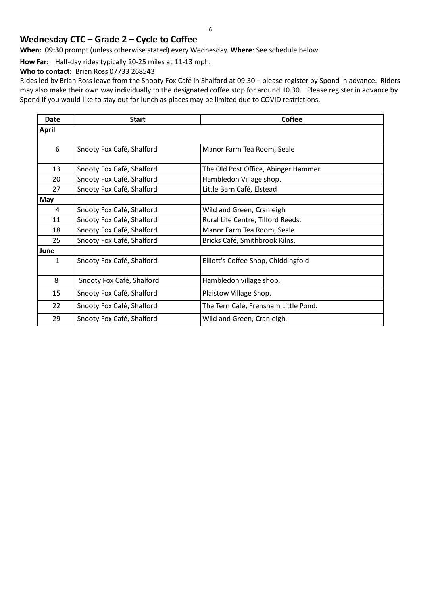#### **Wednesday CTC – Grade 2 – Cycle to Coffee**

**When: 09:30** prompt (unless otherwise stated) every Wednesday. **Where**: See schedule below.

**How Far:** Half-day rides typically 20-25 miles at 11-13 mph.

**Who to contact:** Brian Ross 07733 268543

Rides led by Brian Ross leave from the Snooty Fox Café in Shalford at 09.30 – please register by Spond in advance. Riders may also make their own way individually to the designated coffee stop for around 10.30. Please register in advance by Spond if you would like to stay out for lunch as places may be limited due to COVID restrictions.

| <b>Date</b>  | <b>Start</b>              | <b>Coffee</b>                        |
|--------------|---------------------------|--------------------------------------|
| <b>April</b> |                           |                                      |
|              |                           |                                      |
| 6            | Snooty Fox Café, Shalford | Manor Farm Tea Room, Seale           |
| 13           | Snooty Fox Café, Shalford | The Old Post Office, Abinger Hammer  |
| 20           | Snooty Fox Café, Shalford | Hambledon Village shop.              |
| 27           | Snooty Fox Café, Shalford | Little Barn Café, Elstead            |
| <b>May</b>   |                           |                                      |
| 4            | Snooty Fox Café, Shalford | Wild and Green, Cranleigh            |
| 11           | Snooty Fox Café, Shalford | Rural Life Centre, Tilford Reeds.    |
| 18           | Snooty Fox Café, Shalford | Manor Farm Tea Room, Seale           |
| 25           | Snooty Fox Café, Shalford | Bricks Café, Smithbrook Kilns.       |
| June         |                           |                                      |
| $\mathbf{1}$ | Snooty Fox Café, Shalford | Elliott's Coffee Shop, Chiddingfold  |
| 8            | Snooty Fox Café, Shalford | Hambledon village shop.              |
| 15           | Snooty Fox Café, Shalford | Plaistow Village Shop.               |
| 22           | Snooty Fox Café, Shalford | The Tern Cafe, Frensham Little Pond. |
| 29           | Snooty Fox Café, Shalford | Wild and Green, Cranleigh.           |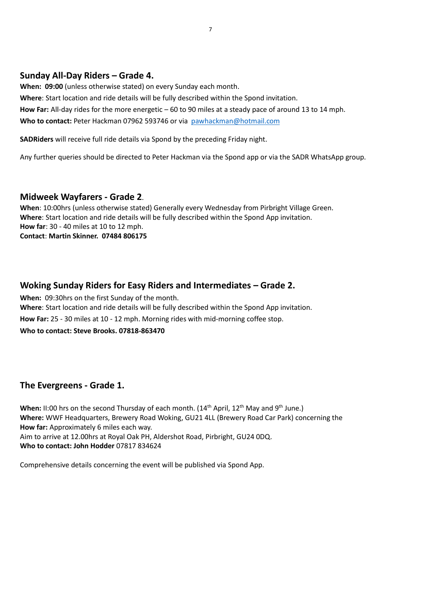#### **Sunday All-Day Riders – Grade 4.**

**When: 09:00** (unless otherwise stated) on every Sunday each month.

**Where**: Start location and ride details will be fully described within the Spond invitation.

**How Far:** All-day rides for the more energetic – 60 to 90 miles at a steady pace of around 13 to 14 mph. **Who to contact:** Peter Hackman 07962 593746 or via [pawhackman@hotmail.com](mailto:pawhackman@hotmail.com)

**SADRiders** will receive full ride details via Spond by the preceding Friday night.

Any further queries should be directed to Peter Hackman via the Spond app or via the SADR WhatsApp group.

#### **Midweek Wayfarers - Grade 2**.

**When**: 10:00hrs (unless otherwise stated) Generally every Wednesday from Pirbright Village Green. **Where**: Start location and ride details will be fully described within the Spond App invitation. **How far**: 30 - 40 miles at 10 to 12 mph. **Contact**: **Martin Skinner. 07484 806175**

#### **Woking Sunday Riders for Easy Riders and Intermediates – Grade 2.**

**When:** 09:30hrs on the first Sunday of the month. **Where**: Start location and ride details will be fully described within the Spond App invitation. **How Far:** 25 - 30 miles at 10 - 12 mph. Morning rides with mid-morning coffee stop. **Who to contact: Steve Brooks. 07818-863470**

#### **The Evergreens - Grade 1.**

When: II:00 hrs on the second Thursday of each month. (14<sup>th</sup> April, 12<sup>th</sup> May and 9<sup>th</sup> June.) **Where:** WWF Headquarters, Brewery Road Woking, GU21 4LL (Brewery Road Car Park) concerning the **How far:** Approximately 6 miles each way. Aim to arrive at 12.00hrs at Royal Oak PH, Aldershot Road, Pirbright, GU24 0DQ. **Who to contact: John Hodder** 07817 834624

Comprehensive details concerning the event will be published via Spond App.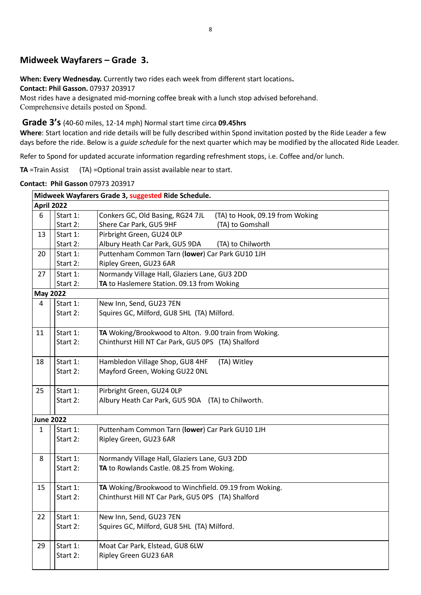#### **Midweek Wayfarers – Grade 3.**

**When: Every Wednesday.** Currently two rides each week from different start locations**.** 

**Contact: Phil Gasson.** 07937 203917

Most rides have a designated mid-morning coffee break with a lunch stop advised beforehand. Comprehensive details posted on Spond.

#### **Grade 3's** (40-60 miles, 12-14 mph) Normal start time circa **09.45hrs**

**Where**: Start location and ride details will be fully described within Spond invitation posted by the Ride Leader a few days before the ride. Below is a *guide schedule* for the next quarter which may be modified by the allocated Ride Leader.

Refer to Spond for updated accurate information regarding refreshment stops, i.e. Coffee and/or lunch.

**TA** =Train Assist (TA) =Optional train assist available near to start.

|                   |          | Midweek Wayfarers Grade 3, suggested Ride Schedule.                 |
|-------------------|----------|---------------------------------------------------------------------|
| <b>April 2022</b> |          |                                                                     |
| 6                 | Start 1: | Conkers GC, Old Basing, RG24 7JL<br>(TA) to Hook, 09.19 from Woking |
|                   | Start 2: | Shere Car Park, GU5 9HF<br>(TA) to Gomshall                         |
| 13                | Start 1: | Pirbright Green, GU24 OLP                                           |
|                   | Start 2: | Albury Heath Car Park, GU5 9DA<br>(TA) to Chilworth                 |
| 20                | Start 1: | Puttenham Common Tarn (lower) Car Park GU10 1JH                     |
|                   | Start 2: | Ripley Green, GU23 6AR                                              |
| 27                | Start 1: | Normandy Village Hall, Glaziers Lane, GU3 2DD                       |
|                   | Start 2: | TA to Haslemere Station. 09.13 from Woking                          |
| <b>May 2022</b>   |          |                                                                     |
| 4                 | Start 1: | New Inn, Send, GU23 7EN                                             |
|                   | Start 2: | Squires GC, Milford, GU8 5HL (TA) Milford.                          |
| 11                | Start 1: | TA Woking/Brookwood to Alton. 9.00 train from Woking.               |
|                   | Start 2: | Chinthurst Hill NT Car Park, GU5 OPS (TA) Shalford                  |
| 18                | Start 1: | Hambledon Village Shop, GU8 4HF<br>(TA) Witley                      |
|                   | Start 2: | Mayford Green, Woking GU22 ONL                                      |
|                   |          |                                                                     |
| 25                | Start 1: | Pirbright Green, GU24 OLP                                           |
|                   | Start 2: | Albury Heath Car Park, GU5 9DA (TA) to Chilworth.                   |
|                   |          |                                                                     |
| <b>June 2022</b>  |          |                                                                     |
| $\mathbf{1}$      | Start 1: | Puttenham Common Tarn (lower) Car Park GU10 1JH                     |
|                   | Start 2: | Ripley Green, GU23 6AR                                              |
|                   |          |                                                                     |
| 8                 | Start 1: | Normandy Village Hall, Glaziers Lane, GU3 2DD                       |
|                   | Start 2: | TA to Rowlands Castle. 08.25 from Woking.                           |
| 15                | Start 1: | TA Woking/Brookwood to Winchfield. 09.19 from Woking.               |
|                   | Start 2: | Chinthurst Hill NT Car Park, GU5 OPS (TA) Shalford                  |
| 22                | Start 1: | New Inn, Send, GU23 7EN                                             |
|                   | Start 2: | Squires GC, Milford, GU8 5HL (TA) Milford.                          |
|                   |          |                                                                     |
| 29                | Start 1: | Moat Car Park, Elstead, GU8 6LW                                     |
|                   | Start 2: | Ripley Green GU23 6AR                                               |
|                   |          |                                                                     |

**Contact: Phil Gasson** 07973 203917